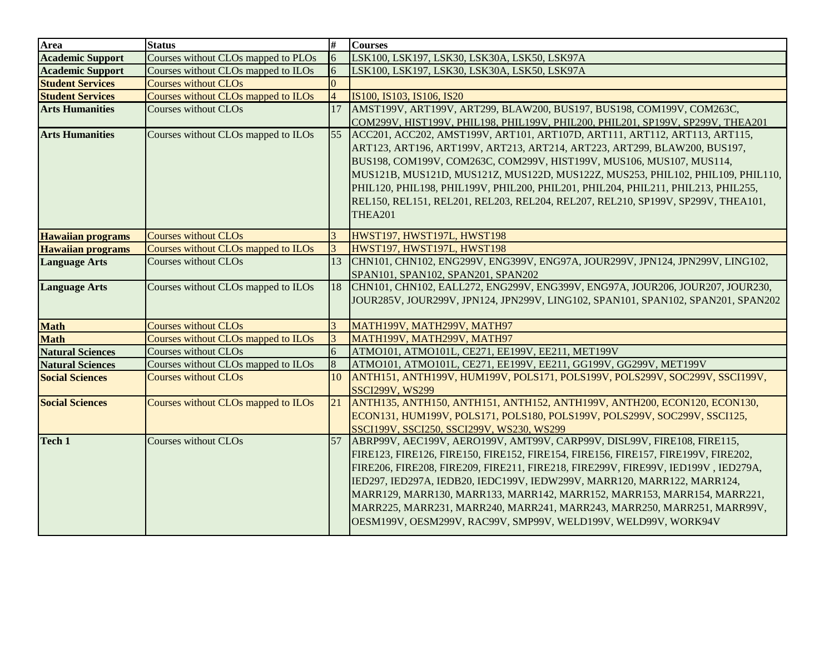| <b>Area</b>              | <b>Status</b>                              | #              | <b>Courses</b>                                                                                                                                                                                                                                                                                                                                                                                                                                                                                                                                       |
|--------------------------|--------------------------------------------|----------------|------------------------------------------------------------------------------------------------------------------------------------------------------------------------------------------------------------------------------------------------------------------------------------------------------------------------------------------------------------------------------------------------------------------------------------------------------------------------------------------------------------------------------------------------------|
| <b>Academic Support</b>  | Courses without CLOs mapped to PLOs        | 6              | LSK100, LSK197, LSK30, LSK30A, LSK50, LSK97A                                                                                                                                                                                                                                                                                                                                                                                                                                                                                                         |
| <b>Academic Support</b>  | Courses without CLOs mapped to ILOs        | 6              | LSK100, LSK197, LSK30, LSK30A, LSK50, LSK97A                                                                                                                                                                                                                                                                                                                                                                                                                                                                                                         |
| <b>Student Services</b>  | <b>Courses without CLOs</b>                | $\Omega$       |                                                                                                                                                                                                                                                                                                                                                                                                                                                                                                                                                      |
| <b>Student Services</b>  | Courses without CLOs mapped to ILOs        | $\overline{4}$ | IS100, IS103, IS106, IS20                                                                                                                                                                                                                                                                                                                                                                                                                                                                                                                            |
| <b>Arts Humanities</b>   | Courses without CLOs                       | 17             | AMST199V, ART199V, ART299, BLAW200, BUS197, BUS198, COM199V, COM263C,<br>COM299V, HIST199V, PHIL198, PHIL199V, PHIL200, PHIL201, SP199V, SP299V, THEA201                                                                                                                                                                                                                                                                                                                                                                                             |
| <b>Arts Humanities</b>   | Courses without CLOs mapped to ILOs        | 55             | ACC201, ACC202, AMST199V, ART101, ART107D, ART111, ART112, ART113, ART115,<br>ART123, ART196, ART199V, ART213, ART214, ART223, ART299, BLAW200, BUS197,<br>BUS198, COM199V, COM263C, COM299V, HIST199V, MUS106, MUS107, MUS114,<br>MUS121B, MUS121D, MUS121Z, MUS122D, MUS122Z, MUS253, PHIL102, PHIL109, PHIL110,<br>PHIL120, PHIL198, PHIL199V, PHIL200, PHIL201, PHIL204, PHIL211, PHIL213, PHIL255,<br>REL150, REL151, REL201, REL203, REL204, REL207, REL210, SP199V, SP299V, THEA101,<br><b>THEA201</b>                                        |
| <b>Hawaiian programs</b> | <b>Courses without CLOs</b>                |                | HWST197, HWST197L, HWST198                                                                                                                                                                                                                                                                                                                                                                                                                                                                                                                           |
| <b>Hawaiian programs</b> | Courses without CLOs mapped to ILOs        | 3              | HWST197, HWST197L, HWST198                                                                                                                                                                                                                                                                                                                                                                                                                                                                                                                           |
| <b>Language Arts</b>     | <b>Courses without CLOs</b>                | 13             | CHN101, CHN102, ENG299V, ENG399V, ENG97A, JOUR299V, JPN124, JPN299V, LING102,<br>SPAN101, SPAN102, SPAN201, SPAN202                                                                                                                                                                                                                                                                                                                                                                                                                                  |
| <b>Language Arts</b>     | Courses without CLOs mapped to ILOs        |                | 18 CHN101, CHN102, EALL272, ENG299V, ENG399V, ENG97A, JOUR206, JOUR207, JOUR230,<br>JOUR285V, JOUR299V, JPN124, JPN299V, LING102, SPAN101, SPAN102, SPAN201, SPAN202                                                                                                                                                                                                                                                                                                                                                                                 |
| <b>Math</b>              | <b>Courses without CLOs</b>                | 3              | <b>МАТН199V, МАТН299V, МАТН97</b>                                                                                                                                                                                                                                                                                                                                                                                                                                                                                                                    |
| <b>Math</b>              | <b>Courses without CLOs mapped to ILOs</b> | 3              | <b>МАТН199V, МАТН299V, МАТН97</b>                                                                                                                                                                                                                                                                                                                                                                                                                                                                                                                    |
| <b>Natural Sciences</b>  | Courses without CLOs                       | 6              | ATMO101, ATMO101L, CE271, EE199V, EE211, MET199V                                                                                                                                                                                                                                                                                                                                                                                                                                                                                                     |
| <b>Natural Sciences</b>  | Courses without CLOs mapped to ILOs        | 8              | ATMO101, ATMO101L, CE271, EE199V, EE211, GG199V, GG299V, MET199V                                                                                                                                                                                                                                                                                                                                                                                                                                                                                     |
| <b>Social Sciences</b>   | <b>Courses without CLOs</b>                | 10             | ANTH151, ANTH199V, HUM199V, POLS171, POLS199V, POLS299V, SOC299V, SSCI199V,<br><b>SSCI299V, WS299</b>                                                                                                                                                                                                                                                                                                                                                                                                                                                |
| <b>Social Sciences</b>   | Courses without CLOs mapped to ILOs        | 21             | ANTH135, ANTH150, ANTH151, ANTH152, ANTH199V, ANTH200, ECON120, ECON130,<br>ECON131, HUM199V, POLS171, POLS180, POLS199V, POLS299V, SOC299V, SSCI125,<br>SSCI199V, SSCI250, SSCI299V, WS230, WS299                                                                                                                                                                                                                                                                                                                                                   |
| Tech 1                   | <b>Courses without CLOs</b>                | 57             | ABRP99V, AEC199V, AERO199V, AMT99V, CARP99V, DISL99V, FIRE108, FIRE115,<br>FIRE123, FIRE126, FIRE150, FIRE152, FIRE154, FIRE156, FIRE157, FIRE199V, FIRE202,<br>FIRE206, FIRE208, FIRE209, FIRE211, FIRE218, FIRE299V, FIRE99V, IED199V, IED279A,<br>IED297, IED297A, IEDB20, IEDC199V, IEDW299V, MARR120, MARR122, MARR124,<br>MARR129, MARR130, MARR133, MARR142, MARR152, MARR153, MARR154, MARR221,<br>MARR225, MARR231, MARR240, MARR241, MARR243, MARR250, MARR251, MARR99V,<br>OESM199V, OESM299V, RAC99V, SMP99V, WELD199V, WELD99V, WORK94V |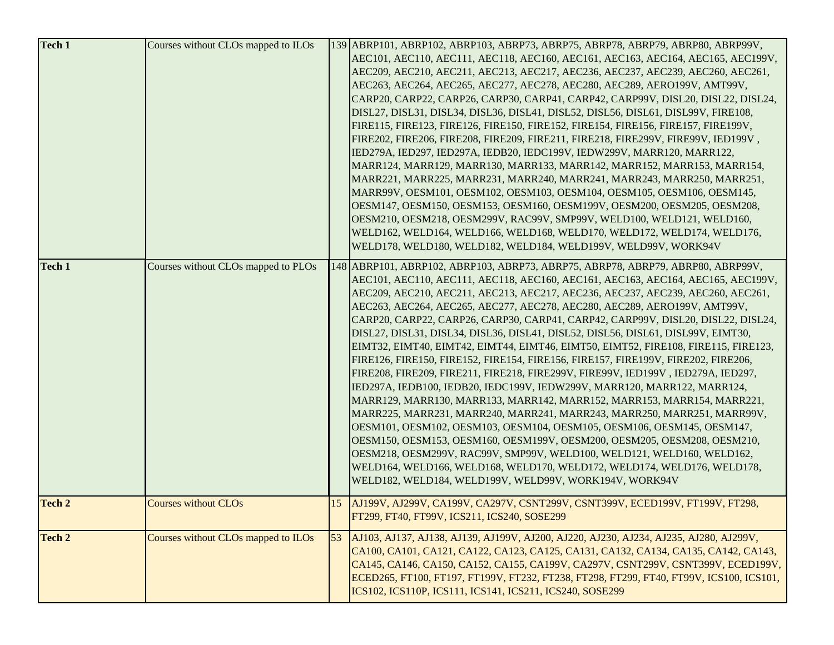| Tech 1        | Courses without CLOs mapped to ILOs |    | 139 ABRP101, ABRP102, ABRP103, ABRP73, ABRP75, ABRP78, ABRP79, ABRP80, ABRP99V,<br>AEC101, AEC110, AEC111, AEC118, AEC160, AEC161, AEC163, AEC164, AEC165, AEC199V,<br>AEC209, AEC210, AEC211, AEC213, AEC217, AEC236, AEC237, AEC239, AEC260, AEC261,<br>AEC263, AEC264, AEC265, AEC277, AEC278, AEC280, AEC289, AERO199V, AMT99V,<br>CARP20, CARP22, CARP26, CARP30, CARP41, CARP42, CARP99V, DISL20, DISL22, DISL24,<br>DISL27, DISL31, DISL34, DISL36, DISL41, DISL52, DISL56, DISL61, DISL99V, FIRE108,<br>FIRE115, FIRE123, FIRE126, FIRE150, FIRE152, FIRE154, FIRE156, FIRE157, FIRE199V,<br>FIRE202, FIRE206, FIRE208, FIRE209, FIRE211, FIRE218, FIRE299V, FIRE99V, IED199V,<br>IED279A, IED297, IED297A, IEDB20, IEDC199V, IEDW299V, MARR120, MARR122,<br>MARR124, MARR129, MARR130, MARR133, MARR142, MARR152, MARR153, MARR154,<br>MARR221, MARR225, MARR231, MARR240, MARR241, MARR243, MARR250, MARR251,<br>MARR99V, OESM101, OESM102, OESM103, OESM104, OESM105, OESM106, OESM145,<br>OESM147, OESM150, OESM153, OESM160, OESM199V, OESM200, OESM205, OESM208,<br>OESM210, OESM218, OESM299V, RAC99V, SMP99V, WELD100, WELD121, WELD160,<br>WELD162, WELD164, WELD166, WELD168, WELD170, WELD172, WELD174, WELD176,<br>WELD178, WELD180, WELD182, WELD184, WELD199V, WELD99V, WORK94V                                                                              |
|---------------|-------------------------------------|----|------------------------------------------------------------------------------------------------------------------------------------------------------------------------------------------------------------------------------------------------------------------------------------------------------------------------------------------------------------------------------------------------------------------------------------------------------------------------------------------------------------------------------------------------------------------------------------------------------------------------------------------------------------------------------------------------------------------------------------------------------------------------------------------------------------------------------------------------------------------------------------------------------------------------------------------------------------------------------------------------------------------------------------------------------------------------------------------------------------------------------------------------------------------------------------------------------------------------------------------------------------------------------------------------------------------------------------------------------------------------------------|
| <b>Tech 1</b> | Courses without CLOs mapped to PLOs |    | 148 ABRP101, ABRP102, ABRP103, ABRP73, ABRP75, ABRP78, ABRP79, ABRP80, ABRP99V,<br>AEC101, AEC110, AEC111, AEC118, AEC160, AEC161, AEC163, AEC164, AEC165, AEC199V,<br>AEC209, AEC210, AEC211, AEC213, AEC217, AEC236, AEC237, AEC239, AEC260, AEC261,<br>AEC263, AEC264, AEC265, AEC277, AEC278, AEC280, AEC289, AERO199V, AMT99V,<br>CARP20, CARP22, CARP26, CARP30, CARP41, CARP42, CARP99V, DISL20, DISL22, DISL24,<br>DISL27, DISL31, DISL34, DISL36, DISL41, DISL52, DISL56, DISL61, DISL99V, EIMT30,<br>EIMT32, EIMT40, EIMT42, EIMT44, EIMT46, EIMT50, EIMT52, FIRE108, FIRE115, FIRE123,<br>FIRE126, FIRE150, FIRE152, FIRE154, FIRE156, FIRE157, FIRE199V, FIRE202, FIRE206,<br>FIRE208, FIRE209, FIRE211, FIRE218, FIRE299V, FIRE99V, IED199V, IED279A, IED297,<br>IED297A, IEDB100, IEDB20, IEDC199V, IEDW299V, MARR120, MARR122, MARR124,<br>MARR129, MARR130, MARR133, MARR142, MARR152, MARR153, MARR154, MARR221,<br>MARR225, MARR231, MARR240, MARR241, MARR243, MARR250, MARR251, MARR99V,<br>OESM101, OESM102, OESM103, OESM104, OESM105, OESM106, OESM145, OESM147,<br>OESM150, OESM153, OESM160, OESM199V, OESM200, OESM205, OESM208, OESM210,<br>OESM218, OESM299V, RAC99V, SMP99V, WELD100, WELD121, WELD160, WELD162,<br>WELD164, WELD166, WELD168, WELD170, WELD172, WELD174, WELD176, WELD178,<br>WELD182, WELD184, WELD199V, WELD99V, WORK194V, WORK94V |
| Tech 2        | <b>Courses without CLOs</b>         |    | 15 AJ199V, AJ299V, CA199V, CA297V, CSNT299V, CSNT399V, ECED199V, FT199V, FT298,<br>FT299, FT40, FT99V, ICS211, ICS240, SOSE299                                                                                                                                                                                                                                                                                                                                                                                                                                                                                                                                                                                                                                                                                                                                                                                                                                                                                                                                                                                                                                                                                                                                                                                                                                                     |
| Tech 2        | Courses without CLOs mapped to ILOs | 53 | AJ103, AJ137, AJ138, AJ139, AJ199V, AJ200, AJ220, AJ230, AJ234, AJ235, AJ280, AJ299V,<br>CA100, CA101, CA121, CA122, CA123, CA125, CA131, CA132, CA134, CA135, CA142, CA143,<br>CA145, CA146, CA150, CA152, CA155, CA199V, CA297V, CSNT299V, CSNT399V, ECED199V,<br>ECED265, FT100, FT197, FT199V, FT232, FT238, FT298, FT299, FT40, FT99V, ICS100, ICS101,<br>ICS102, ICS110P, ICS111, ICS141, ICS211, ICS240, SOSE299                                                                                                                                                                                                                                                                                                                                                                                                                                                                                                                                                                                                                                                                                                                                                                                                                                                                                                                                                            |